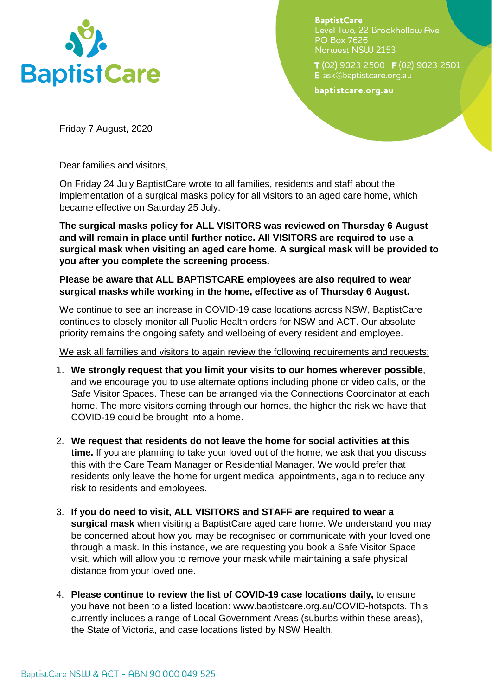

**BaptistCare** Level Two, 22 Brookhollow Ave **PO Box 7626** Norwest NSW 2153

T(02) 9023 2500 F(02) 9023 2501 E ask@baptistcare.org.au

baptistcare.org.au

Friday 7 August, 2020

Dear families and visitors,

On Friday 24 July BaptistCare wrote to all families, residents and staff about the implementation of a surgical masks policy for all visitors to an aged care home, which became effective on Saturday 25 July.

**The surgical masks policy for ALL VISITORS was reviewed on Thursday 6 August and will remain in place until further notice. All VISITORS are required to use a surgical mask when visiting an aged care home. A surgical mask will be provided to you after you complete the screening process.**

**Please be aware that ALL BAPTISTCARE employees are also required to wear surgical masks while working in the home, effective as of Thursday 6 August.**

We continue to see an increase in COVID-19 case locations across NSW, BaptistCare continues to closely monitor all Public Health orders for NSW and ACT. Our absolute priority remains the ongoing safety and wellbeing of every resident and employee.

We ask all families and visitors to again review the following requirements and requests:

- 1. **We strongly request that you limit your visits to our homes wherever possible**, and we encourage you to use alternate options including phone or video calls, or the Safe Visitor Spaces. These can be arranged via the Connections Coordinator at each home. The more visitors coming through our homes, the higher the risk we have that COVID-19 could be brought into a home.
- 2. **We request that residents do not leave the home for social activities at this time.** If you are planning to take your loved out of the home, we ask that you discuss this with the Care Team Manager or Residential Manager. We would prefer that residents only leave the home for urgent medical appointments, again to reduce any risk to residents and employees.
- 3. **If you do need to visit, ALL VISITORS and STAFF are required to wear a surgical mask** when visiting a BaptistCare aged care home. We understand you may be concerned about how you may be recognised or communicate with your loved one through a mask. In this instance, we are requesting you book a Safe Visitor Space visit, which will allow you to remove your mask while maintaining a safe physical distance from your loved one.
- 4. **Please continue to review the list of COVID-19 case locations daily,** to ensure you have not been to a listed location: [www.baptistcare.org.au/COVID-hotspots.](http://www.baptistcare.org.au/COVID-hotspots) This currently includes a range of Local Government Areas (suburbs within these areas), the State of Victoria, and case locations listed by NSW Health.